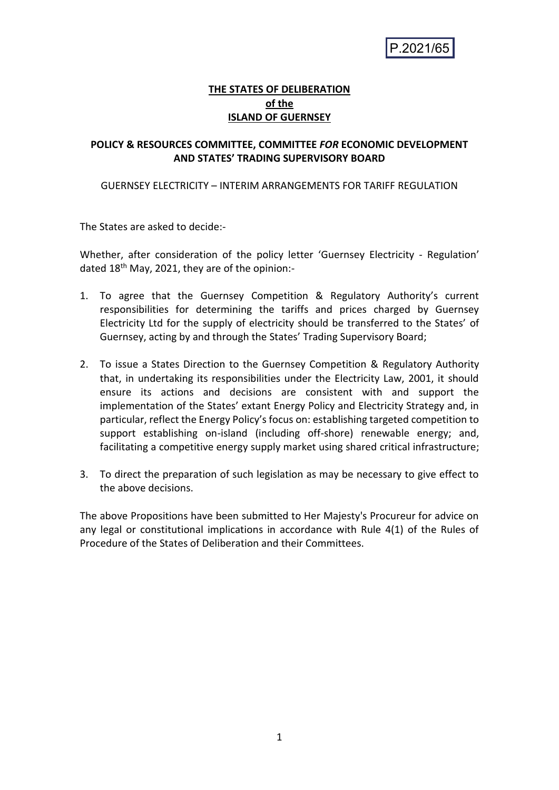$P.2021/65$ 

## **THE STATES OF DELIBERATION of the ISLAND OF GUERNSEY**

#### **POLICY & RESOURCES COMMITTEE, COMMITTEE** *FOR* **ECONOMIC DEVELOPMENT AND STATES' TRADING SUPERVISORY BOARD**

#### GUERNSEY ELECTRICITY – INTERIM ARRANGEMENTS FOR TARIFF REGULATION

The States are asked to decide:-

Whether, after consideration of the policy letter 'Guernsey Electricity - Regulation' dated 18<sup>th</sup> May, 2021, they are of the opinion:-

- 1. To agree that the Guernsey Competition & Regulatory Authority's current responsibilities for determining the tariffs and prices charged by Guernsey Electricity Ltd for the supply of electricity should be transferred to the States' of Guernsey, acting by and through the States' Trading Supervisory Board;
- 2. To issue a States Direction to the Guernsey Competition & Regulatory Authority that, in undertaking its responsibilities under the Electricity Law, 2001, it should ensure its actions and decisions are consistent with and support the implementation of the States' extant Energy Policy and Electricity Strategy and, in particular, reflect the Energy Policy's focus on: establishing targeted competition to support establishing on-island (including off-shore) renewable energy; and, facilitating a competitive energy supply market using shared critical infrastructure;
- 3. To direct the preparation of such legislation as may be necessary to give effect to the above decisions.

The above Propositions have been submitted to Her Majesty's Procureur for advice on any legal or constitutional implications in accordance with Rule 4(1) of the Rules of Procedure of the States of Deliberation and their Committees.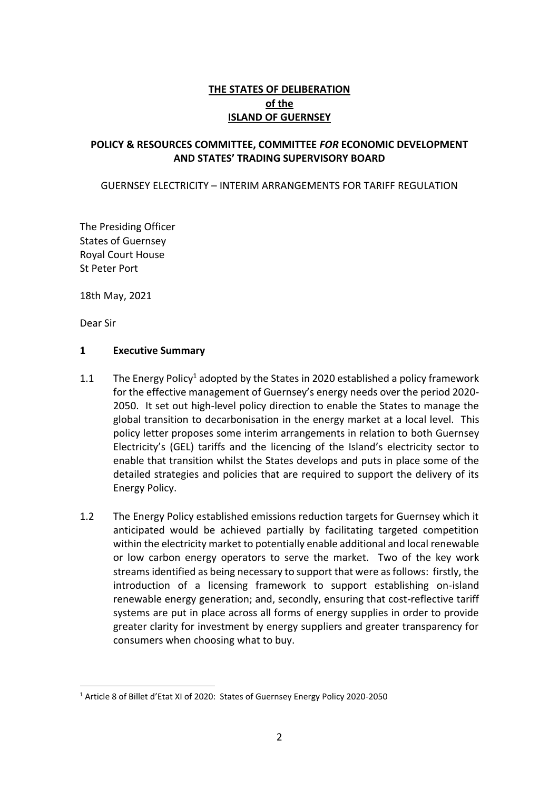# **THE STATES OF DELIBERATION of the ISLAND OF GUERNSEY**

#### **POLICY & RESOURCES COMMITTEE, COMMITTEE** *FOR* **ECONOMIC DEVELOPMENT AND STATES' TRADING SUPERVISORY BOARD**

#### GUERNSEY ELECTRICITY – INTERIM ARRANGEMENTS FOR TARIFF REGULATION

The Presiding Officer States of Guernsey Royal Court House St Peter Port

18th May, 2021

Dear Sir

#### **1 Executive Summary**

- 1.1 The Energy Policy<sup>1</sup> adopted by the States in 2020 established a policy framework for the effective management of Guernsey's energy needs over the period 2020- 2050. It set out high-level policy direction to enable the States to manage the global transition to decarbonisation in the energy market at a local level. This policy letter proposes some interim arrangements in relation to both Guernsey Electricity's (GEL) tariffs and the licencing of the Island's electricity sector to enable that transition whilst the States develops and puts in place some of the detailed strategies and policies that are required to support the delivery of its Energy Policy.
- 1.2 The Energy Policy established emissions reduction targets for Guernsey which it anticipated would be achieved partially by facilitating targeted competition within the electricity market to potentially enable additional and local renewable or low carbon energy operators to serve the market. Two of the key work streams identified as being necessary to support that were as follows: firstly, the introduction of a licensing framework to support establishing on-island renewable energy generation; and, secondly, ensuring that cost-reflective tariff systems are put in place across all forms of energy supplies in order to provide greater clarity for investment by energy suppliers and greater transparency for consumers when choosing what to buy.

<sup>1</sup> Article 8 of Billet d'Etat XI of 2020: States of Guernsey Energy Policy 2020-2050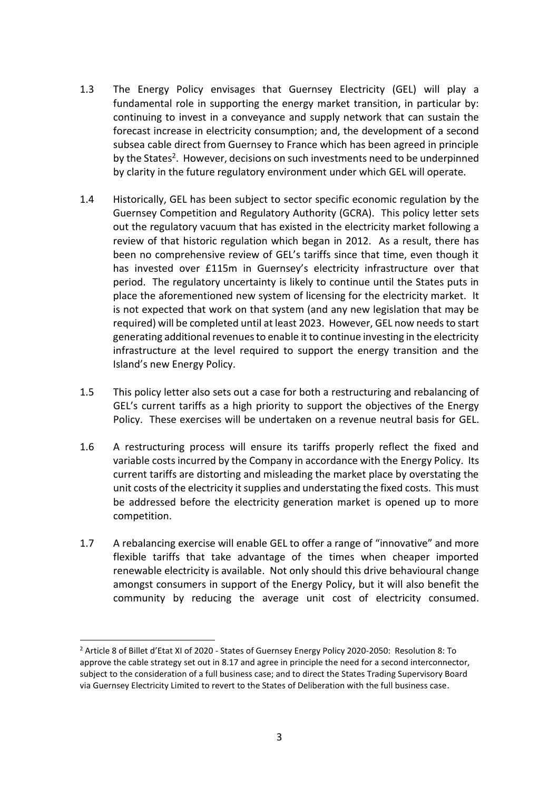- 1.3 The Energy Policy envisages that Guernsey Electricity (GEL) will play a fundamental role in supporting the energy market transition, in particular by: continuing to invest in a conveyance and supply network that can sustain the forecast increase in electricity consumption; and, the development of a second subsea cable direct from Guernsey to France which has been agreed in principle by the States<sup>2</sup>. However, decisions on such investments need to be underpinned by clarity in the future regulatory environment under which GEL will operate.
- 1.4 Historically, GEL has been subject to sector specific economic regulation by the Guernsey Competition and Regulatory Authority (GCRA). This policy letter sets out the regulatory vacuum that has existed in the electricity market following a review of that historic regulation which began in 2012. As a result, there has been no comprehensive review of GEL's tariffs since that time, even though it has invested over £115m in Guernsey's electricity infrastructure over that period. The regulatory uncertainty is likely to continue until the States puts in place the aforementioned new system of licensing for the electricity market. It is not expected that work on that system (and any new legislation that may be required) will be completed until at least 2023. However, GEL now needs to start generating additional revenues to enable it to continue investing in the electricity infrastructure at the level required to support the energy transition and the Island's new Energy Policy.
- 1.5 This policy letter also sets out a case for both a restructuring and rebalancing of GEL's current tariffs as a high priority to support the objectives of the Energy Policy. These exercises will be undertaken on a revenue neutral basis for GEL.
- 1.6 A restructuring process will ensure its tariffs properly reflect the fixed and variable costs incurred by the Company in accordance with the Energy Policy. Its current tariffs are distorting and misleading the market place by overstating the unit costs of the electricity it supplies and understating the fixed costs. This must be addressed before the electricity generation market is opened up to more competition.
- 1.7 A rebalancing exercise will enable GEL to offer a range of "innovative" and more flexible tariffs that take advantage of the times when cheaper imported renewable electricity is available. Not only should this drive behavioural change amongst consumers in support of the Energy Policy, but it will also benefit the community by reducing the average unit cost of electricity consumed.

<sup>2</sup> Article 8 of Billet d'Etat XI of 2020 - States of Guernsey Energy Policy 2020-2050: Resolution 8: To approve the cable strategy set out in 8.17 and agree in principle the need for a second interconnector, subject to the consideration of a full business case; and to direct the States Trading Supervisory Board via Guernsey Electricity Limited to revert to the States of Deliberation with the full business case.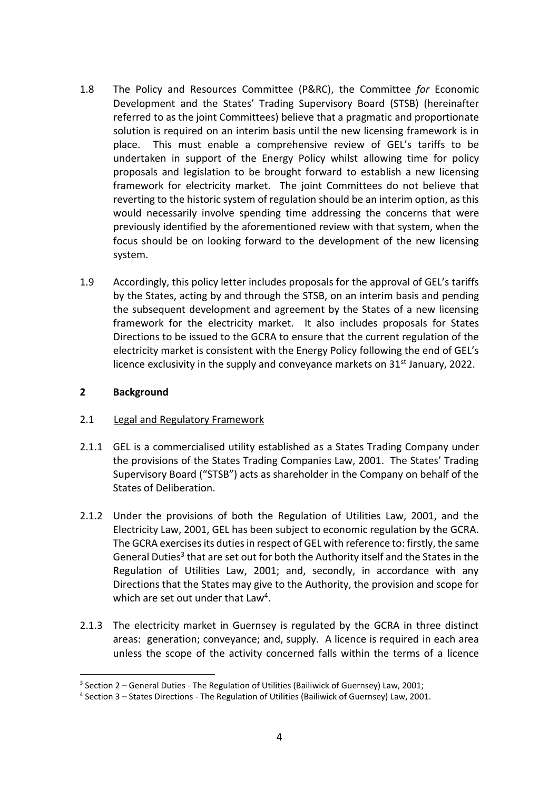- 1.8 The Policy and Resources Committee (P&RC), the Committee *for* Economic Development and the States' Trading Supervisory Board (STSB) (hereinafter referred to as the joint Committees) believe that a pragmatic and proportionate solution is required on an interim basis until the new licensing framework is in place. This must enable a comprehensive review of GEL's tariffs to be undertaken in support of the Energy Policy whilst allowing time for policy proposals and legislation to be brought forward to establish a new licensing framework for electricity market. The joint Committees do not believe that reverting to the historic system of regulation should be an interim option, as this would necessarily involve spending time addressing the concerns that were previously identified by the aforementioned review with that system, when the focus should be on looking forward to the development of the new licensing system.
- 1.9 Accordingly, this policy letter includes proposals for the approval of GEL's tariffs by the States, acting by and through the STSB, on an interim basis and pending the subsequent development and agreement by the States of a new licensing framework for the electricity market. It also includes proposals for States Directions to be issued to the GCRA to ensure that the current regulation of the electricity market is consistent with the Energy Policy following the end of GEL's licence exclusivity in the supply and conveyance markets on  $31<sup>st</sup>$  January, 2022.

#### **2 Background**

## 2.1 Legal and Regulatory Framework

- 2.1.1 GEL is a commercialised utility established as a States Trading Company under the provisions of the States Trading Companies Law, 2001. The States' Trading Supervisory Board ("STSB") acts as shareholder in the Company on behalf of the States of Deliberation.
- 2.1.2 Under the provisions of both the Regulation of Utilities Law, 2001, and the Electricity Law, 2001, GEL has been subject to economic regulation by the GCRA. The GCRA exercises its duties in respect of GEL with reference to: firstly, the same General Duties<sup>3</sup> that are set out for both the Authority itself and the States in the Regulation of Utilities Law, 2001; and, secondly, in accordance with any Directions that the States may give to the Authority, the provision and scope for which are set out under that Law<sup>4</sup>.
- 2.1.3 The electricity market in Guernsey is regulated by the GCRA in three distinct areas: generation; conveyance; and, supply. A licence is required in each area unless the scope of the activity concerned falls within the terms of a licence

<sup>&</sup>lt;sup>3</sup> Section 2 – General Duties - The Regulation of Utilities (Bailiwick of Guernsey) Law, 2001;

<sup>4</sup> Section 3 – States Directions - The Regulation of Utilities (Bailiwick of Guernsey) Law, 2001.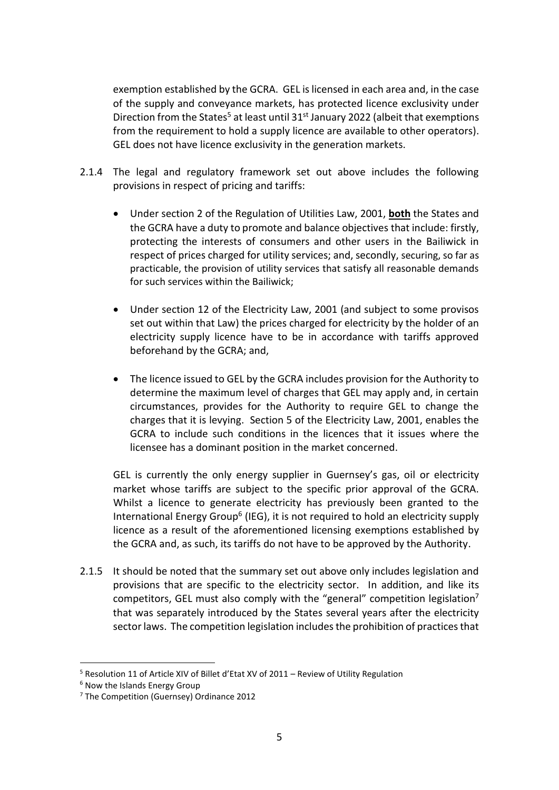exemption established by the GCRA. GEL is licensed in each area and, in the case of the supply and conveyance markets, has protected licence exclusivity under Direction from the States<sup>5</sup> at least until  $31<sup>st</sup>$  January 2022 (albeit that exemptions from the requirement to hold a supply licence are available to other operators). GEL does not have licence exclusivity in the generation markets.

- 2.1.4 The legal and regulatory framework set out above includes the following provisions in respect of pricing and tariffs:
	- Under section 2 of the Regulation of Utilities Law, 2001, **both** the States and the GCRA have a duty to promote and balance objectives that include: firstly, protecting the interests of consumers and other users in the Bailiwick in respect of prices charged for utility services; and, secondly, securing, so far as practicable, the provision of utility services that satisfy all reasonable demands for such services within the Bailiwick;
	- Under section 12 of the Electricity Law, 2001 (and subject to some provisos set out within that Law) the prices charged for electricity by the holder of an electricity supply licence have to be in accordance with tariffs approved beforehand by the GCRA; and,
	- The licence issued to GEL by the GCRA includes provision for the Authority to determine the maximum level of charges that GEL may apply and, in certain circumstances, provides for the Authority to require GEL to change the charges that it is levying. Section 5 of the Electricity Law, 2001, enables the GCRA to include such conditions in the licences that it issues where the licensee has a dominant position in the market concerned.

GEL is currently the only energy supplier in Guernsey's gas, oil or electricity market whose tariffs are subject to the specific prior approval of the GCRA. Whilst a licence to generate electricity has previously been granted to the International Energy Group<sup>6</sup> (IEG), it is not required to hold an electricity supply licence as a result of the aforementioned licensing exemptions established by the GCRA and, as such, its tariffs do not have to be approved by the Authority.

2.1.5 It should be noted that the summary set out above only includes legislation and provisions that are specific to the electricity sector. In addition, and like its competitors, GEL must also comply with the "general" competition legislation<sup>7</sup> that was separately introduced by the States several years after the electricity sector laws. The competition legislation includesthe prohibition of practices that

<sup>&</sup>lt;sup>5</sup> Resolution 11 of Article XIV of Billet d'Etat XV of 2011 – Review of Utility Regulation

<sup>6</sup> Now the Islands Energy Group

<sup>7</sup> The Competition (Guernsey) Ordinance 2012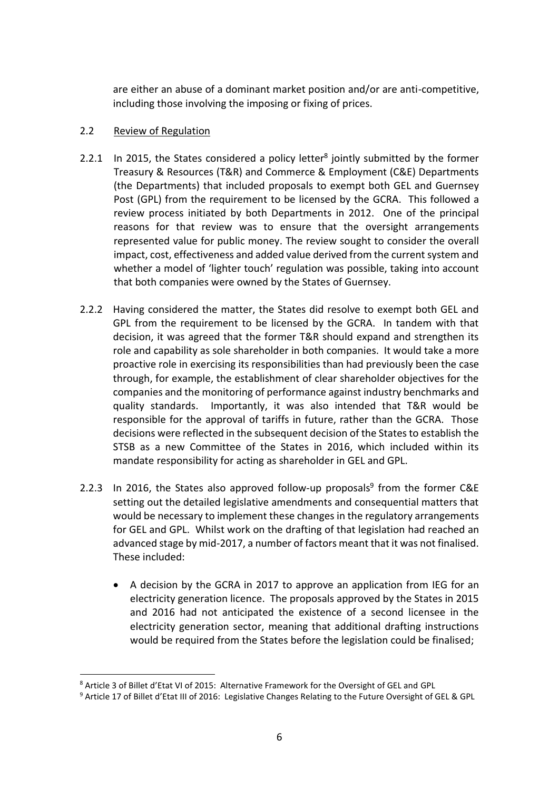are either an abuse of a dominant market position and/or are anti-competitive, including those involving the imposing or fixing of prices.

## 2.2 Review of Regulation

- 2.2.1 In 2015, the States considered a policy letter<sup>8</sup> jointly submitted by the former Treasury & Resources (T&R) and Commerce & Employment (C&E) Departments (the Departments) that included proposals to exempt both GEL and Guernsey Post (GPL) from the requirement to be licensed by the GCRA. This followed a review process initiated by both Departments in 2012. One of the principal reasons for that review was to ensure that the oversight arrangements represented value for public money. The review sought to consider the overall impact, cost, effectiveness and added value derived from the current system and whether a model of 'lighter touch' regulation was possible, taking into account that both companies were owned by the States of Guernsey.
- 2.2.2 Having considered the matter, the States did resolve to exempt both GEL and GPL from the requirement to be licensed by the GCRA. In tandem with that decision, it was agreed that the former T&R should expand and strengthen its role and capability as sole shareholder in both companies. It would take a more proactive role in exercising its responsibilities than had previously been the case through, for example, the establishment of clear shareholder objectives for the companies and the monitoring of performance against industry benchmarks and quality standards. Importantly, it was also intended that T&R would be responsible for the approval of tariffs in future, rather than the GCRA. Those decisions were reflected in the subsequent decision of the States to establish the STSB as a new Committee of the States in 2016, which included within its mandate responsibility for acting as shareholder in GEL and GPL.
- 2.2.3 In 2016, the States also approved follow-up proposals<sup>9</sup> from the former C&E setting out the detailed legislative amendments and consequential matters that would be necessary to implement these changes in the regulatory arrangements for GEL and GPL. Whilst work on the drafting of that legislation had reached an advanced stage by mid-2017, a number of factors meant that it was not finalised. These included:
	- A decision by the GCRA in 2017 to approve an application from IEG for an electricity generation licence. The proposals approved by the States in 2015 and 2016 had not anticipated the existence of a second licensee in the electricity generation sector, meaning that additional drafting instructions would be required from the States before the legislation could be finalised;

<sup>8</sup> Article 3 of Billet d'Etat VI of 2015: Alternative Framework for the Oversight of GEL and GPL

<sup>9</sup> Article 17 of Billet d'Etat III of 2016: Legislative Changes Relating to the Future Oversight of GEL & GPL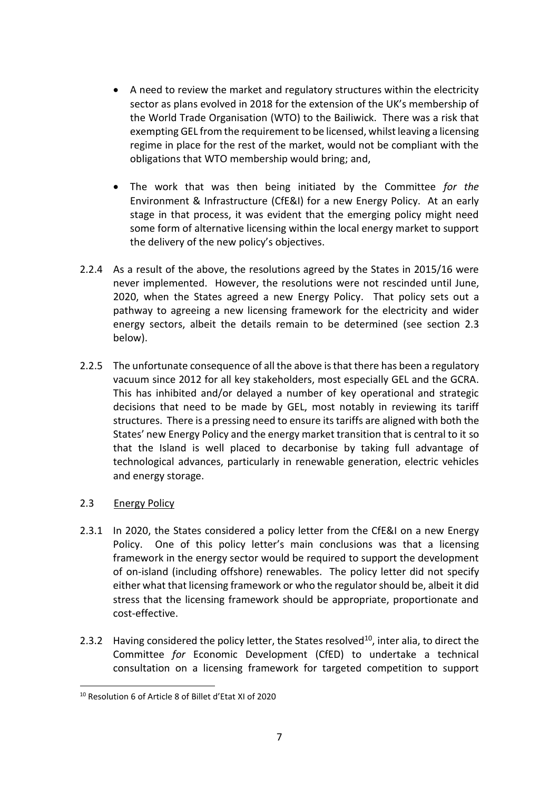- A need to review the market and regulatory structures within the electricity sector as plans evolved in 2018 for the extension of the UK's membership of the World Trade Organisation (WTO) to the Bailiwick. There was a risk that exempting GEL from the requirement to be licensed, whilst leaving a licensing regime in place for the rest of the market, would not be compliant with the obligations that WTO membership would bring; and,
- The work that was then being initiated by the Committee *for the*  Environment & Infrastructure (CfE&I) for a new Energy Policy. At an early stage in that process, it was evident that the emerging policy might need some form of alternative licensing within the local energy market to support the delivery of the new policy's objectives.
- 2.2.4 As a result of the above, the resolutions agreed by the States in 2015/16 were never implemented. However, the resolutions were not rescinded until June, 2020, when the States agreed a new Energy Policy. That policy sets out a pathway to agreeing a new licensing framework for the electricity and wider energy sectors, albeit the details remain to be determined (see section 2.3 below).
- 2.2.5 The unfortunate consequence of all the above is that there has been a regulatory vacuum since 2012 for all key stakeholders, most especially GEL and the GCRA. This has inhibited and/or delayed a number of key operational and strategic decisions that need to be made by GEL, most notably in reviewing its tariff structures. There is a pressing need to ensure its tariffs are aligned with both the States' new Energy Policy and the energy market transition that is central to it so that the Island is well placed to decarbonise by taking full advantage of technological advances, particularly in renewable generation, electric vehicles and energy storage.

## 2.3 Energy Policy

- 2.3.1 In 2020, the States considered a policy letter from the CfE&I on a new Energy Policy. One of this policy letter's main conclusions was that a licensing framework in the energy sector would be required to support the development of on-island (including offshore) renewables. The policy letter did not specify either what that licensing framework or who the regulator should be, albeit it did stress that the licensing framework should be appropriate, proportionate and cost-effective.
- 2.3.2 Having considered the policy letter, the States resolved $^{10}$ , inter alia, to direct the Committee *for* Economic Development (CfED) to undertake a technical consultation on a licensing framework for targeted competition to support

<sup>10</sup> Resolution 6 of Article 8 of Billet d'Etat XI of 2020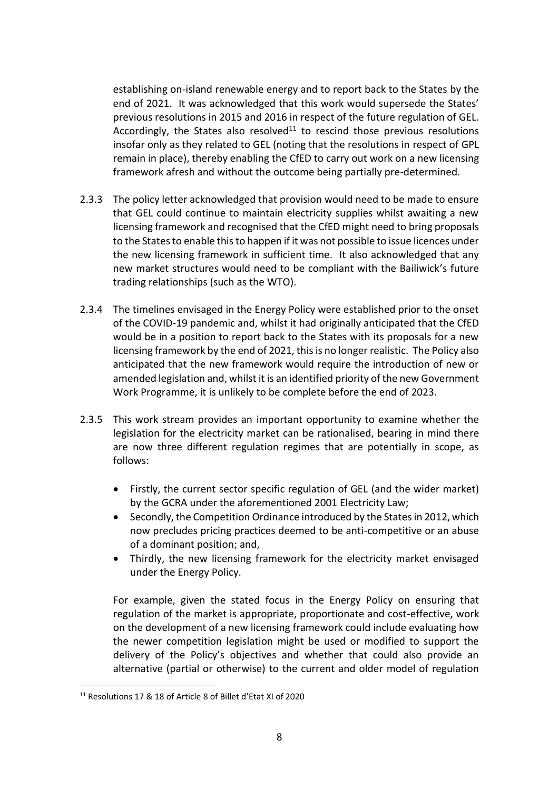establishing on-island renewable energy and to report back to the States by the end of 2021. It was acknowledged that this work would supersede the States' previous resolutions in 2015 and 2016 in respect of the future regulation of GEL. Accordingly, the States also resolved<sup>11</sup> to rescind those previous resolutions insofar only as they related to GEL (noting that the resolutions in respect of GPL remain in place), thereby enabling the CfED to carry out work on a new licensing framework afresh and without the outcome being partially pre-determined.

- 2.3.3 The policy letter acknowledged that provision would need to be made to ensure that GEL could continue to maintain electricity supplies whilst awaiting a new licensing framework and recognised that the CfED might need to bring proposals to the States to enable this to happen if it was not possible to issue licences under the new licensing framework in sufficient time. It also acknowledged that any new market structures would need to be compliant with the Bailiwick's future trading relationships (such as the WTO).
- 2.3.4 The timelines envisaged in the Energy Policy were established prior to the onset of the COVID-19 pandemic and, whilst it had originally anticipated that the CfED would be in a position to report back to the States with its proposals for a new licensing framework by the end of 2021, this is no longer realistic. The Policy also anticipated that the new framework would require the introduction of new or amended legislation and, whilst it is an identified priority of the new Government Work Programme, it is unlikely to be complete before the end of 2023.
- 2.3.5 This work stream provides an important opportunity to examine whether the legislation for the electricity market can be rationalised, bearing in mind there are now three different regulation regimes that are potentially in scope, as follows:
	- Firstly, the current sector specific regulation of GEL (and the wider market) by the GCRA under the aforementioned 2001 Electricity Law;
	- Secondly, the Competition Ordinance introduced by the States in 2012, which now precludes pricing practices deemed to be anti-competitive or an abuse of a dominant position; and,
	- Thirdly, the new licensing framework for the electricity market envisaged under the Energy Policy.

For example, given the stated focus in the Energy Policy on ensuring that regulation of the market is appropriate, proportionate and cost-effective, work on the development of a new licensing framework could include evaluating how the newer competition legislation might be used or modified to support the delivery of the Policy's objectives and whether that could also provide an alternative (partial or otherwise) to the current and older model of regulation

<sup>11</sup> Resolutions 17 & 18 of Article 8 of Billet d'Etat XI of 2020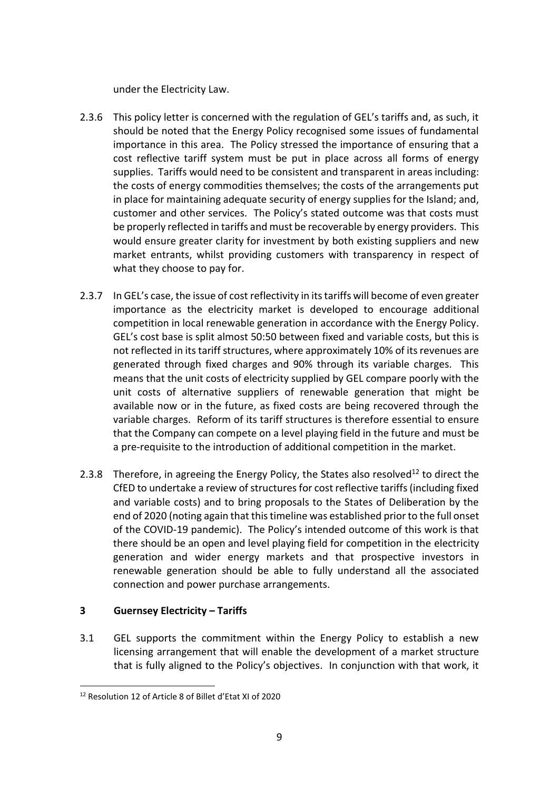under the Electricity Law.

- 2.3.6 This policy letter is concerned with the regulation of GEL's tariffs and, as such, it should be noted that the Energy Policy recognised some issues of fundamental importance in this area. The Policy stressed the importance of ensuring that a cost reflective tariff system must be put in place across all forms of energy supplies. Tariffs would need to be consistent and transparent in areas including: the costs of energy commodities themselves; the costs of the arrangements put in place for maintaining adequate security of energy supplies for the Island; and, customer and other services. The Policy's stated outcome was that costs must be properly reflected in tariffs and must be recoverable by energy providers. This would ensure greater clarity for investment by both existing suppliers and new market entrants, whilst providing customers with transparency in respect of what they choose to pay for.
- 2.3.7 In GEL's case, the issue of cost reflectivity in its tariffs will become of even greater importance as the electricity market is developed to encourage additional competition in local renewable generation in accordance with the Energy Policy. GEL's cost base is split almost 50:50 between fixed and variable costs, but this is not reflected in its tariff structures, where approximately 10% of its revenues are generated through fixed charges and 90% through its variable charges. This means that the unit costs of electricity supplied by GEL compare poorly with the unit costs of alternative suppliers of renewable generation that might be available now or in the future, as fixed costs are being recovered through the variable charges. Reform of its tariff structures is therefore essential to ensure that the Company can compete on a level playing field in the future and must be a pre-requisite to the introduction of additional competition in the market.
- 2.3.8 Therefore, in agreeing the Energy Policy, the States also resolved<sup>12</sup> to direct the CfED to undertake a review of structures for cost reflective tariffs (including fixed and variable costs) and to bring proposals to the States of Deliberation by the end of 2020 (noting again that this timeline was established prior to the full onset of the COVID-19 pandemic). The Policy's intended outcome of this work is that there should be an open and level playing field for competition in the electricity generation and wider energy markets and that prospective investors in renewable generation should be able to fully understand all the associated connection and power purchase arrangements.

## **3 Guernsey Electricity – Tariffs**

3.1 GEL supports the commitment within the Energy Policy to establish a new licensing arrangement that will enable the development of a market structure that is fully aligned to the Policy's objectives. In conjunction with that work, it

<sup>12</sup> Resolution 12 of Article 8 of Billet d'Etat XI of 2020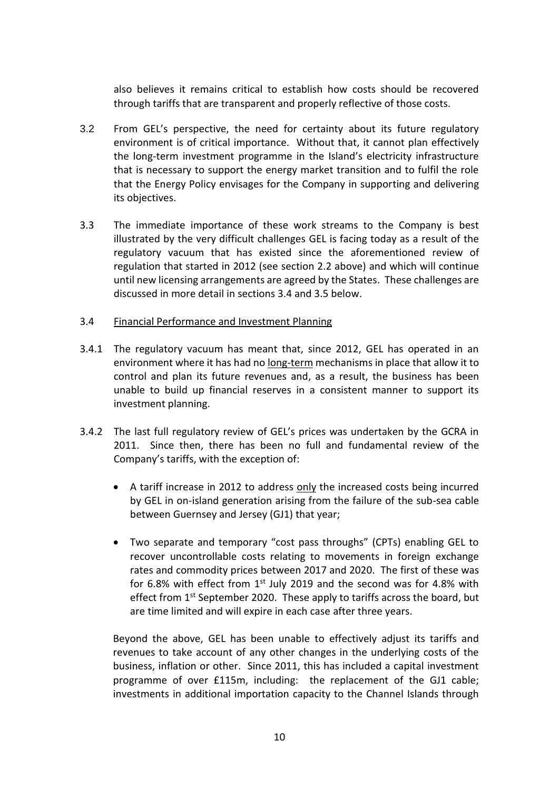also believes it remains critical to establish how costs should be recovered through tariffs that are transparent and properly reflective of those costs.

- 3.2 From GEL's perspective, the need for certainty about its future regulatory environment is of critical importance. Without that, it cannot plan effectively the long-term investment programme in the Island's electricity infrastructure that is necessary to support the energy market transition and to fulfil the role that the Energy Policy envisages for the Company in supporting and delivering its objectives.
- 3.3 The immediate importance of these work streams to the Company is best illustrated by the very difficult challenges GEL is facing today as a result of the regulatory vacuum that has existed since the aforementioned review of regulation that started in 2012 (see section 2.2 above) and which will continue until new licensing arrangements are agreed by the States. These challenges are discussed in more detail in sections 3.4 and 3.5 below.

#### 3.4 Financial Performance and Investment Planning

- 3.4.1 The regulatory vacuum has meant that, since 2012, GEL has operated in an environment where it has had no long-term mechanisms in place that allow it to control and plan its future revenues and, as a result, the business has been unable to build up financial reserves in a consistent manner to support its investment planning.
- 3.4.2 The last full regulatory review of GEL's prices was undertaken by the GCRA in 2011. Since then, there has been no full and fundamental review of the Company's tariffs, with the exception of:
	- A tariff increase in 2012 to address only the increased costs being incurred by GEL in on-island generation arising from the failure of the sub-sea cable between Guernsey and Jersey (GJ1) that year;
	- Two separate and temporary "cost pass throughs" (CPTs) enabling GEL to recover uncontrollable costs relating to movements in foreign exchange rates and commodity prices between 2017 and 2020. The first of these was for 6.8% with effect from  $1<sup>st</sup>$  July 2019 and the second was for 4.8% with effect from 1<sup>st</sup> September 2020. These apply to tariffs across the board, but are time limited and will expire in each case after three years.

Beyond the above, GEL has been unable to effectively adjust its tariffs and revenues to take account of any other changes in the underlying costs of the business, inflation or other. Since 2011, this has included a capital investment programme of over £115m, including: the replacement of the GJ1 cable; investments in additional importation capacity to the Channel Islands through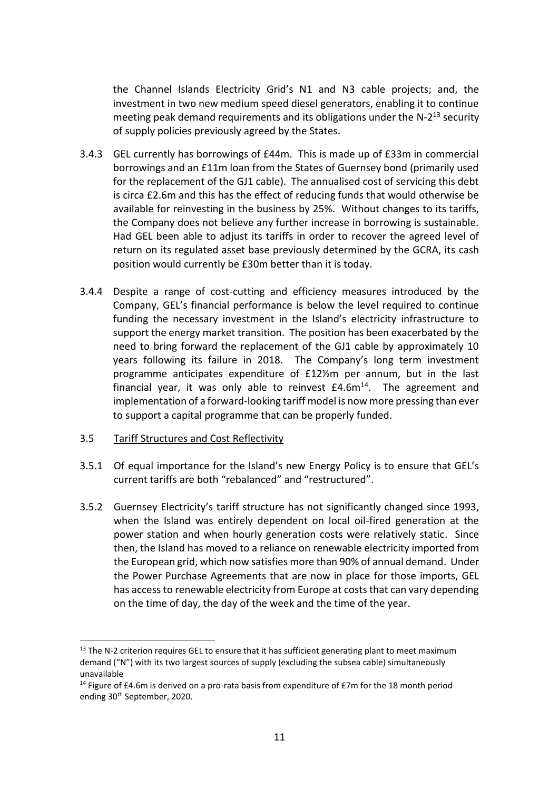the Channel Islands Electricity Grid's N1 and N3 cable projects; and, the investment in two new medium speed diesel generators, enabling it to continue meeting peak demand requirements and its obligations under the N-2<sup>13</sup> security of supply policies previously agreed by the States.

- 3.4.3 GEL currently has borrowings of £44m. This is made up of £33m in commercial borrowings and an £11m loan from the States of Guernsey bond (primarily used for the replacement of the GJ1 cable). The annualised cost of servicing this debt is circa £2.6m and this has the effect of reducing funds that would otherwise be available for reinvesting in the business by 25%. Without changes to its tariffs, the Company does not believe any further increase in borrowing is sustainable. Had GEL been able to adjust its tariffs in order to recover the agreed level of return on its regulated asset base previously determined by the GCRA, its cash position would currently be £30m better than it is today.
- 3.4.4 Despite a range of cost-cutting and efficiency measures introduced by the Company, GEL's financial performance is below the level required to continue funding the necessary investment in the Island's electricity infrastructure to support the energy market transition. The position has been exacerbated by the need to bring forward the replacement of the GJ1 cable by approximately 10 years following its failure in 2018. The Company's long term investment programme anticipates expenditure of £12½m per annum, but in the last financial year, it was only able to reinvest  $£4.6m<sup>14</sup>$ . The agreement and implementation of a forward-looking tariff model is now more pressing than ever to support a capital programme that can be properly funded.
- 3.5 Tariff Structures and Cost Reflectivity
- 3.5.1 Of equal importance for the Island's new Energy Policy is to ensure that GEL's current tariffs are both "rebalanced" and "restructured".
- 3.5.2 Guernsey Electricity's tariff structure has not significantly changed since 1993, when the Island was entirely dependent on local oil-fired generation at the power station and when hourly generation costs were relatively static. Since then, the Island has moved to a reliance on renewable electricity imported from the European grid, which now satisfies more than 90% of annual demand. Under the Power Purchase Agreements that are now in place for those imports, GEL has access to renewable electricity from Europe at costs that can vary depending on the time of day, the day of the week and the time of the year.

<sup>&</sup>lt;sup>13</sup> The N-2 criterion requires GEL to ensure that it has sufficient generating plant to meet maximum demand ("N") with its two largest sources of supply (excluding the subsea cable) simultaneously unavailable

<sup>&</sup>lt;sup>14</sup> Figure of £4.6m is derived on a pro-rata basis from expenditure of £7m for the 18 month period ending 30<sup>th</sup> September, 2020.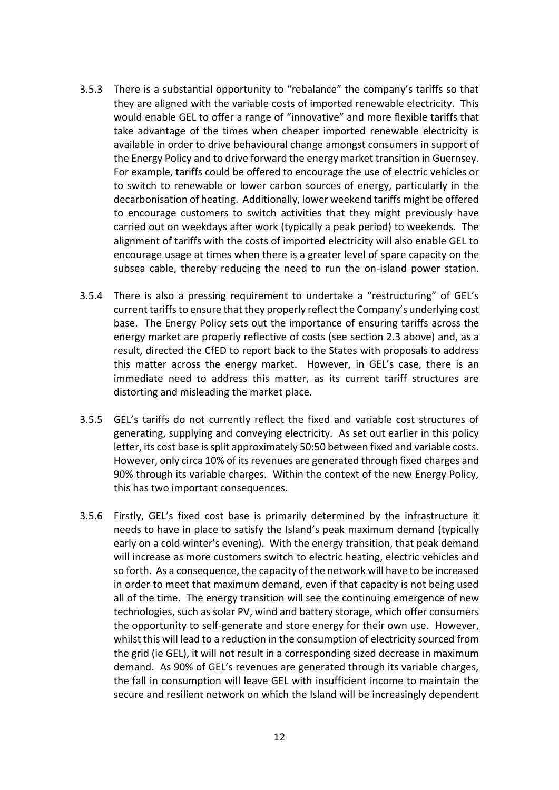- 3.5.3 There is a substantial opportunity to "rebalance" the company's tariffs so that they are aligned with the variable costs of imported renewable electricity. This would enable GEL to offer a range of "innovative" and more flexible tariffs that take advantage of the times when cheaper imported renewable electricity is available in order to drive behavioural change amongst consumers in support of the Energy Policy and to drive forward the energy market transition in Guernsey. For example, tariffs could be offered to encourage the use of electric vehicles or to switch to renewable or lower carbon sources of energy, particularly in the decarbonisation of heating. Additionally, lower weekend tariffs might be offered to encourage customers to switch activities that they might previously have carried out on weekdays after work (typically a peak period) to weekends. The alignment of tariffs with the costs of imported electricity will also enable GEL to encourage usage at times when there is a greater level of spare capacity on the subsea cable, thereby reducing the need to run the on-island power station.
- 3.5.4 There is also a pressing requirement to undertake a "restructuring" of GEL's current tariffs to ensure that they properly reflect the Company's underlying cost base. The Energy Policy sets out the importance of ensuring tariffs across the energy market are properly reflective of costs (see section 2.3 above) and, as a result, directed the CfED to report back to the States with proposals to address this matter across the energy market. However, in GEL's case, there is an immediate need to address this matter, as its current tariff structures are distorting and misleading the market place.
- 3.5.5 GEL's tariffs do not currently reflect the fixed and variable cost structures of generating, supplying and conveying electricity. As set out earlier in this policy letter, its cost base is split approximately 50:50 between fixed and variable costs. However, only circa 10% of its revenues are generated through fixed charges and 90% through its variable charges. Within the context of the new Energy Policy, this has two important consequences.
- 3.5.6 Firstly, GEL's fixed cost base is primarily determined by the infrastructure it needs to have in place to satisfy the Island's peak maximum demand (typically early on a cold winter's evening). With the energy transition, that peak demand will increase as more customers switch to electric heating, electric vehicles and so forth. As a consequence, the capacity of the network will have to be increased in order to meet that maximum demand, even if that capacity is not being used all of the time. The energy transition will see the continuing emergence of new technologies, such as solar PV, wind and battery storage, which offer consumers the opportunity to self-generate and store energy for their own use. However, whilst this will lead to a reduction in the consumption of electricity sourced from the grid (ie GEL), it will not result in a corresponding sized decrease in maximum demand. As 90% of GEL's revenues are generated through its variable charges, the fall in consumption will leave GEL with insufficient income to maintain the secure and resilient network on which the Island will be increasingly dependent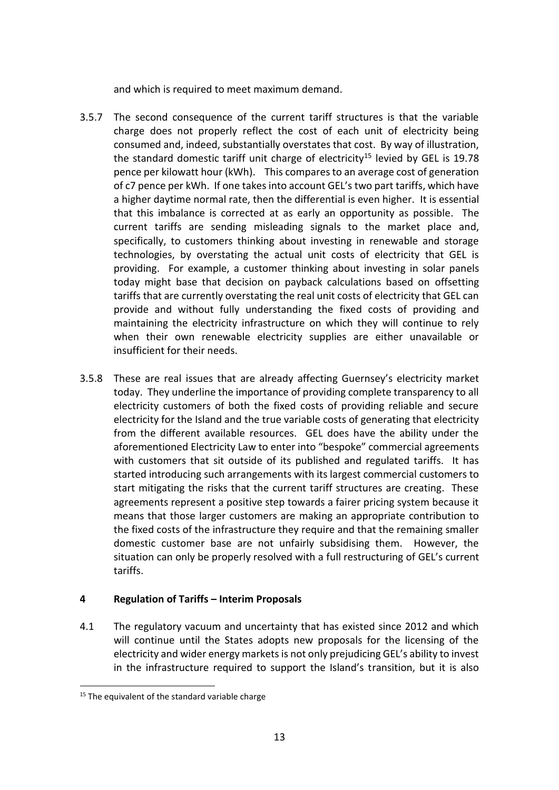and which is required to meet maximum demand.

- 3.5.7 The second consequence of the current tariff structures is that the variable charge does not properly reflect the cost of each unit of electricity being consumed and, indeed, substantially overstates that cost. By way of illustration, the standard domestic tariff unit charge of electricity<sup>15</sup> levied by GEL is 19.78 pence per kilowatt hour (kWh). This compares to an average cost of generation of c7 pence per kWh. If one takes into account GEL's two part tariffs, which have a higher daytime normal rate, then the differential is even higher. It is essential that this imbalance is corrected at as early an opportunity as possible. The current tariffs are sending misleading signals to the market place and, specifically, to customers thinking about investing in renewable and storage technologies, by overstating the actual unit costs of electricity that GEL is providing. For example, a customer thinking about investing in solar panels today might base that decision on payback calculations based on offsetting tariffs that are currently overstating the real unit costs of electricity that GEL can provide and without fully understanding the fixed costs of providing and maintaining the electricity infrastructure on which they will continue to rely when their own renewable electricity supplies are either unavailable or insufficient for their needs.
- 3.5.8 These are real issues that are already affecting Guernsey's electricity market today. They underline the importance of providing complete transparency to all electricity customers of both the fixed costs of providing reliable and secure electricity for the Island and the true variable costs of generating that electricity from the different available resources. GEL does have the ability under the aforementioned Electricity Law to enter into "bespoke" commercial agreements with customers that sit outside of its published and regulated tariffs. It has started introducing such arrangements with its largest commercial customers to start mitigating the risks that the current tariff structures are creating. These agreements represent a positive step towards a fairer pricing system because it means that those larger customers are making an appropriate contribution to the fixed costs of the infrastructure they require and that the remaining smaller domestic customer base are not unfairly subsidising them. However, the situation can only be properly resolved with a full restructuring of GEL's current tariffs.

## **4 Regulation of Tariffs – Interim Proposals**

4.1 The regulatory vacuum and uncertainty that has existed since 2012 and which will continue until the States adopts new proposals for the licensing of the electricity and wider energy markets is not only prejudicing GEL's ability to invest in the infrastructure required to support the Island's transition, but it is also

 $15$  The equivalent of the standard variable charge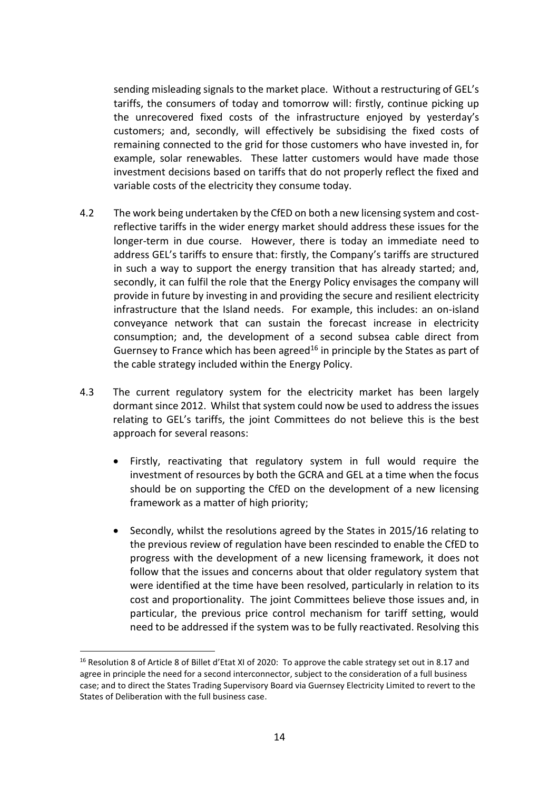sending misleading signals to the market place. Without a restructuring of GEL's tariffs, the consumers of today and tomorrow will: firstly, continue picking up the unrecovered fixed costs of the infrastructure enjoyed by yesterday's customers; and, secondly, will effectively be subsidising the fixed costs of remaining connected to the grid for those customers who have invested in, for example, solar renewables. These latter customers would have made those investment decisions based on tariffs that do not properly reflect the fixed and variable costs of the electricity they consume today.

- 4.2 The work being undertaken by the CfED on both a new licensing system and costreflective tariffs in the wider energy market should address these issues for the longer-term in due course. However, there is today an immediate need to address GEL's tariffs to ensure that: firstly, the Company's tariffs are structured in such a way to support the energy transition that has already started; and, secondly, it can fulfil the role that the Energy Policy envisages the company will provide in future by investing in and providing the secure and resilient electricity infrastructure that the Island needs. For example, this includes: an on-island conveyance network that can sustain the forecast increase in electricity consumption; and, the development of a second subsea cable direct from Guernsey to France which has been agreed<sup>16</sup> in principle by the States as part of the cable strategy included within the Energy Policy.
- 4.3 The current regulatory system for the electricity market has been largely dormant since 2012. Whilst that system could now be used to address the issues relating to GEL's tariffs, the joint Committees do not believe this is the best approach for several reasons:
	- Firstly, reactivating that regulatory system in full would require the investment of resources by both the GCRA and GEL at a time when the focus should be on supporting the CfED on the development of a new licensing framework as a matter of high priority;
	- Secondly, whilst the resolutions agreed by the States in 2015/16 relating to the previous review of regulation have been rescinded to enable the CfED to progress with the development of a new licensing framework, it does not follow that the issues and concerns about that older regulatory system that were identified at the time have been resolved, particularly in relation to its cost and proportionality. The joint Committees believe those issues and, in particular, the previous price control mechanism for tariff setting, would need to be addressed if the system was to be fully reactivated. Resolving this

<sup>&</sup>lt;sup>16</sup> Resolution 8 of Article 8 of Billet d'Etat XI of 2020: To approve the cable strategy set out in 8.17 and agree in principle the need for a second interconnector, subject to the consideration of a full business case; and to direct the States Trading Supervisory Board via Guernsey Electricity Limited to revert to the States of Deliberation with the full business case.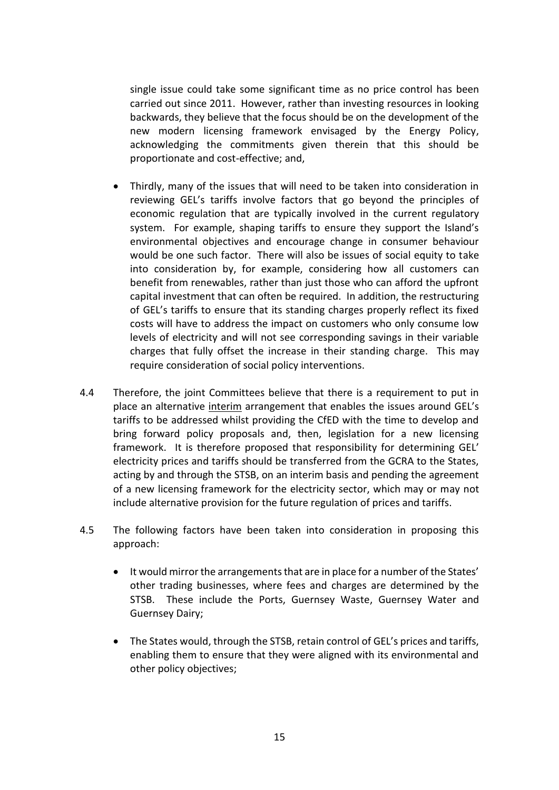single issue could take some significant time as no price control has been carried out since 2011. However, rather than investing resources in looking backwards, they believe that the focus should be on the development of the new modern licensing framework envisaged by the Energy Policy, acknowledging the commitments given therein that this should be proportionate and cost-effective; and,

- Thirdly, many of the issues that will need to be taken into consideration in reviewing GEL's tariffs involve factors that go beyond the principles of economic regulation that are typically involved in the current regulatory system. For example, shaping tariffs to ensure they support the Island's environmental objectives and encourage change in consumer behaviour would be one such factor. There will also be issues of social equity to take into consideration by, for example, considering how all customers can benefit from renewables, rather than just those who can afford the upfront capital investment that can often be required. In addition, the restructuring of GEL's tariffs to ensure that its standing charges properly reflect its fixed costs will have to address the impact on customers who only consume low levels of electricity and will not see corresponding savings in their variable charges that fully offset the increase in their standing charge. This may require consideration of social policy interventions.
- 4.4 Therefore, the joint Committees believe that there is a requirement to put in place an alternative interim arrangement that enables the issues around GEL's tariffs to be addressed whilst providing the CfED with the time to develop and bring forward policy proposals and, then, legislation for a new licensing framework. It is therefore proposed that responsibility for determining GEL' electricity prices and tariffs should be transferred from the GCRA to the States, acting by and through the STSB, on an interim basis and pending the agreement of a new licensing framework for the electricity sector, which may or may not include alternative provision for the future regulation of prices and tariffs.
- 4.5 The following factors have been taken into consideration in proposing this approach:
	- It would mirror the arrangements that are in place for a number of the States' other trading businesses, where fees and charges are determined by the STSB. These include the Ports, Guernsey Waste, Guernsey Water and Guernsey Dairy;
	- The States would, through the STSB, retain control of GEL's prices and tariffs, enabling them to ensure that they were aligned with its environmental and other policy objectives;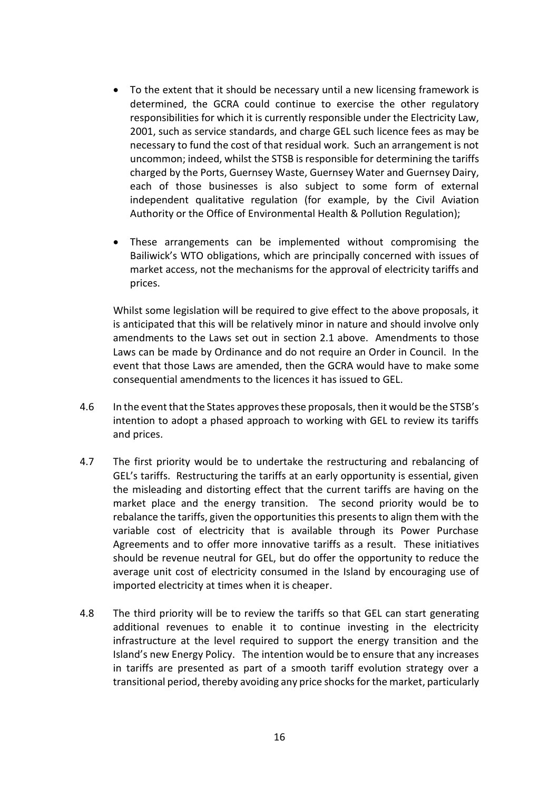- To the extent that it should be necessary until a new licensing framework is determined, the GCRA could continue to exercise the other regulatory responsibilities for which it is currently responsible under the Electricity Law, 2001, such as service standards, and charge GEL such licence fees as may be necessary to fund the cost of that residual work. Such an arrangement is not uncommon; indeed, whilst the STSB is responsible for determining the tariffs charged by the Ports, Guernsey Waste, Guernsey Water and Guernsey Dairy, each of those businesses is also subject to some form of external independent qualitative regulation (for example, by the Civil Aviation Authority or the Office of Environmental Health & Pollution Regulation);
- These arrangements can be implemented without compromising the Bailiwick's WTO obligations, which are principally concerned with issues of market access, not the mechanisms for the approval of electricity tariffs and prices.

Whilst some legislation will be required to give effect to the above proposals, it is anticipated that this will be relatively minor in nature and should involve only amendments to the Laws set out in section 2.1 above. Amendments to those Laws can be made by Ordinance and do not require an Order in Council. In the event that those Laws are amended, then the GCRA would have to make some consequential amendments to the licences it has issued to GEL.

- 4.6 In the event that the States approves these proposals, then it would be the STSB's intention to adopt a phased approach to working with GEL to review its tariffs and prices.
- 4.7 The first priority would be to undertake the restructuring and rebalancing of GEL's tariffs. Restructuring the tariffs at an early opportunity is essential, given the misleading and distorting effect that the current tariffs are having on the market place and the energy transition. The second priority would be to rebalance the tariffs, given the opportunities this presents to align them with the variable cost of electricity that is available through its Power Purchase Agreements and to offer more innovative tariffs as a result. These initiatives should be revenue neutral for GEL, but do offer the opportunity to reduce the average unit cost of electricity consumed in the Island by encouraging use of imported electricity at times when it is cheaper.
- 4.8 The third priority will be to review the tariffs so that GEL can start generating additional revenues to enable it to continue investing in the electricity infrastructure at the level required to support the energy transition and the Island's new Energy Policy. The intention would be to ensure that any increases in tariffs are presented as part of a smooth tariff evolution strategy over a transitional period, thereby avoiding any price shocks for the market, particularly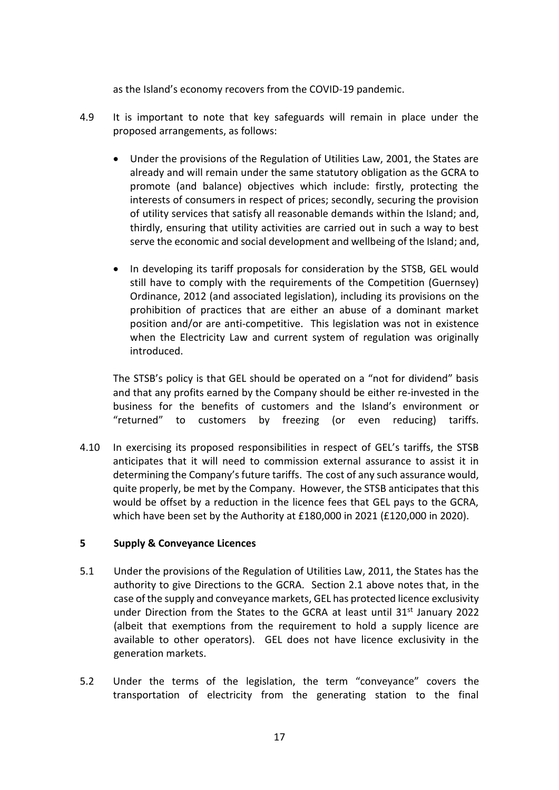as the Island's economy recovers from the COVID-19 pandemic.

- 4.9 It is important to note that key safeguards will remain in place under the proposed arrangements, as follows:
	- Under the provisions of the Regulation of Utilities Law, 2001, the States are already and will remain under the same statutory obligation as the GCRA to promote (and balance) objectives which include: firstly, protecting the interests of consumers in respect of prices; secondly, securing the provision of utility services that satisfy all reasonable demands within the Island; and, thirdly, ensuring that utility activities are carried out in such a way to best serve the economic and social development and wellbeing of the Island; and,
	- In developing its tariff proposals for consideration by the STSB, GEL would still have to comply with the requirements of the Competition (Guernsey) Ordinance, 2012 (and associated legislation), including its provisions on the prohibition of practices that are either an abuse of a dominant market position and/or are anti-competitive. This legislation was not in existence when the Electricity Law and current system of regulation was originally introduced.

The STSB's policy is that GEL should be operated on a "not for dividend" basis and that any profits earned by the Company should be either re-invested in the business for the benefits of customers and the Island's environment or "returned" to customers by freezing (or even reducing) tariffs.

4.10 In exercising its proposed responsibilities in respect of GEL's tariffs, the STSB anticipates that it will need to commission external assurance to assist it in determining the Company's future tariffs. The cost of any such assurance would, quite properly, be met by the Company. However, the STSB anticipates that this would be offset by a reduction in the licence fees that GEL pays to the GCRA, which have been set by the Authority at £180,000 in 2021 (£120,000 in 2020).

## **5 Supply & Conveyance Licences**

- 5.1 Under the provisions of the Regulation of Utilities Law, 2011, the States has the authority to give Directions to the GCRA. Section 2.1 above notes that, in the case of the supply and conveyance markets, GEL has protected licence exclusivity under Direction from the States to the GCRA at least until 31<sup>st</sup> January 2022 (albeit that exemptions from the requirement to hold a supply licence are available to other operators). GEL does not have licence exclusivity in the generation markets.
- 5.2 Under the terms of the legislation, the term "conveyance" covers the transportation of electricity from the generating station to the final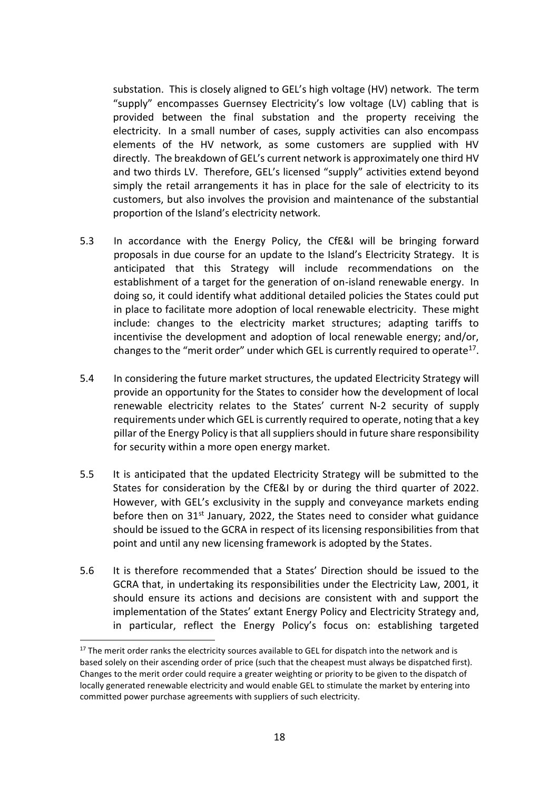substation. This is closely aligned to GEL's high voltage (HV) network. The term "supply" encompasses Guernsey Electricity's low voltage (LV) cabling that is provided between the final substation and the property receiving the electricity. In a small number of cases, supply activities can also encompass elements of the HV network, as some customers are supplied with HV directly. The breakdown of GEL's current network is approximately one third HV and two thirds LV. Therefore, GEL's licensed "supply" activities extend beyond simply the retail arrangements it has in place for the sale of electricity to its customers, but also involves the provision and maintenance of the substantial proportion of the Island's electricity network.

- 5.3 In accordance with the Energy Policy, the CfE&I will be bringing forward proposals in due course for an update to the Island's Electricity Strategy. It is anticipated that this Strategy will include recommendations on the establishment of a target for the generation of on-island renewable energy. In doing so, it could identify what additional detailed policies the States could put in place to facilitate more adoption of local renewable electricity. These might include: changes to the electricity market structures; adapting tariffs to incentivise the development and adoption of local renewable energy; and/or, changes to the "merit order" under which GEL is currently required to operate<sup>17</sup>.
- 5.4 In considering the future market structures, the updated Electricity Strategy will provide an opportunity for the States to consider how the development of local renewable electricity relates to the States' current N-2 security of supply requirements under which GEL is currently required to operate, noting that a key pillar of the Energy Policy is that all suppliers should in future share responsibility for security within a more open energy market.
- 5.5 It is anticipated that the updated Electricity Strategy will be submitted to the States for consideration by the CfE&I by or during the third quarter of 2022. However, with GEL's exclusivity in the supply and conveyance markets ending before then on  $31<sup>st</sup>$  January, 2022, the States need to consider what guidance should be issued to the GCRA in respect of its licensing responsibilities from that point and until any new licensing framework is adopted by the States.
- 5.6 It is therefore recommended that a States' Direction should be issued to the GCRA that, in undertaking its responsibilities under the Electricity Law, 2001, it should ensure its actions and decisions are consistent with and support the implementation of the States' extant Energy Policy and Electricity Strategy and, in particular, reflect the Energy Policy's focus on: establishing targeted

<sup>&</sup>lt;sup>17</sup> The merit order ranks the electricity sources available to GEL for dispatch into the network and is based solely on their ascending order of price (such that the cheapest must always be dispatched first). Changes to the merit order could require a greater weighting or priority to be given to the dispatch of locally generated renewable electricity and would enable GEL to stimulate the market by entering into committed power purchase agreements with suppliers of such electricity.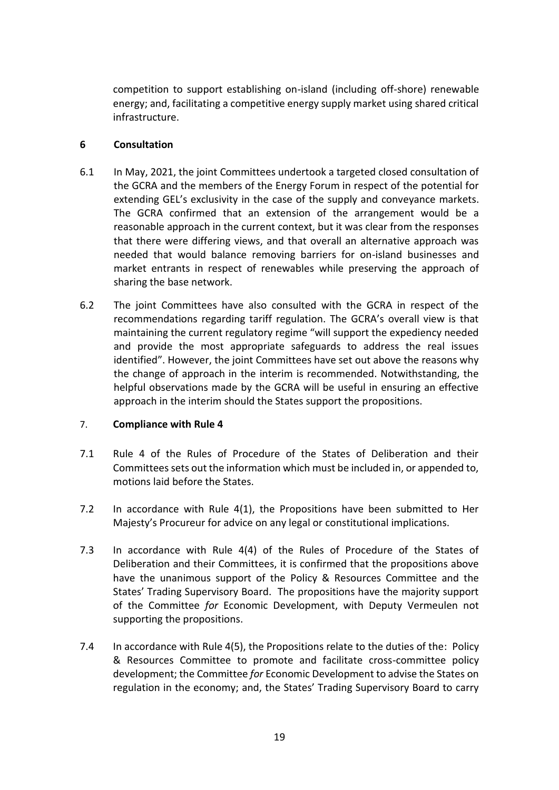competition to support establishing on-island (including off-shore) renewable energy; and, facilitating a competitive energy supply market using shared critical infrastructure.

## **6 Consultation**

- 6.1 In May, 2021, the joint Committees undertook a targeted closed consultation of the GCRA and the members of the Energy Forum in respect of the potential for extending GEL's exclusivity in the case of the supply and conveyance markets. The GCRA confirmed that an extension of the arrangement would be a reasonable approach in the current context, but it was clear from the responses that there were differing views, and that overall an alternative approach was needed that would balance removing barriers for on-island businesses and market entrants in respect of renewables while preserving the approach of sharing the base network.
- 6.2 The joint Committees have also consulted with the GCRA in respect of the recommendations regarding tariff regulation. The GCRA's overall view is that maintaining the current regulatory regime "will support the expediency needed and provide the most appropriate safeguards to address the real issues identified". However, the joint Committees have set out above the reasons why the change of approach in the interim is recommended. Notwithstanding, the helpful observations made by the GCRA will be useful in ensuring an effective approach in the interim should the States support the propositions.

## 7. **Compliance with Rule 4**

- 7.1 Rule 4 of the Rules of Procedure of the States of Deliberation and their Committees sets out the information which must be included in, or appended to, motions laid before the States.
- 7.2 In accordance with Rule 4(1), the Propositions have been submitted to Her Majesty's Procureur for advice on any legal or constitutional implications.
- 7.3 In accordance with Rule 4(4) of the Rules of Procedure of the States of Deliberation and their Committees, it is confirmed that the propositions above have the unanimous support of the Policy & Resources Committee and the States' Trading Supervisory Board. The propositions have the majority support of the Committee *for* Economic Development, with Deputy Vermeulen not supporting the propositions.
- 7.4 In accordance with Rule 4(5), the Propositions relate to the duties of the: Policy & Resources Committee to promote and facilitate cross-committee policy development; the Committee *for* Economic Development to advise the States on regulation in the economy; and, the States' Trading Supervisory Board to carry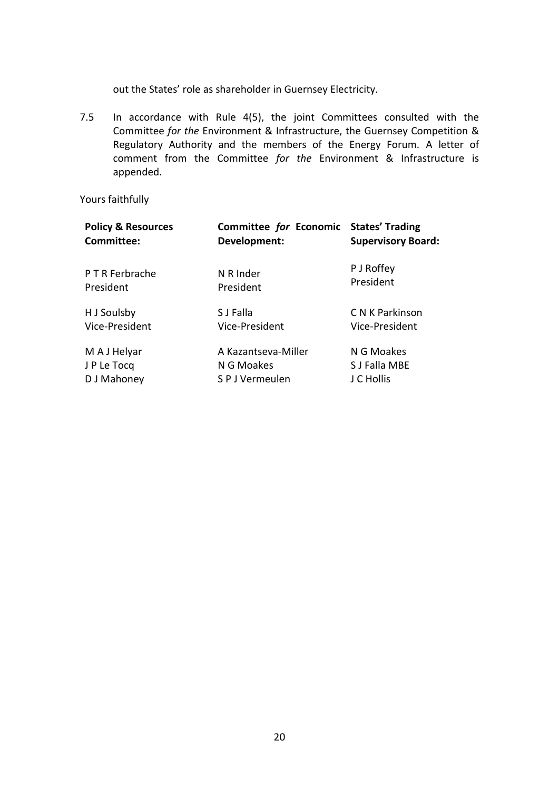out the States' role as shareholder in Guernsey Electricity.

7.5 In accordance with Rule 4(5), the joint Committees consulted with the Committee *for the* Environment & Infrastructure, the Guernsey Competition & Regulatory Authority and the members of the Energy Forum. A letter of comment from the Committee *for the* Environment & Infrastructure is appended.

Yours faithfully

| <b>Policy &amp; Resources</b> | <b>Committee for Economic</b> | <b>States' Trading</b>    |
|-------------------------------|-------------------------------|---------------------------|
| Committee:                    | Development:                  | <b>Supervisory Board:</b> |
| P T R Ferbrache               | N R Inder                     | P J Roffey                |
| President                     | President                     | President                 |
| H J Soulsby                   | S J Falla                     | C N K Parkinson           |
| Vice-President                | Vice-President                | Vice-President            |
| M A J Helyar                  | A Kazantseva-Miller           | N G Moakes                |
| J P Le Tocq                   | N G Moakes                    | S J Falla MBE             |
| D J Mahoney                   | S P J Vermeulen               | J C Hollis                |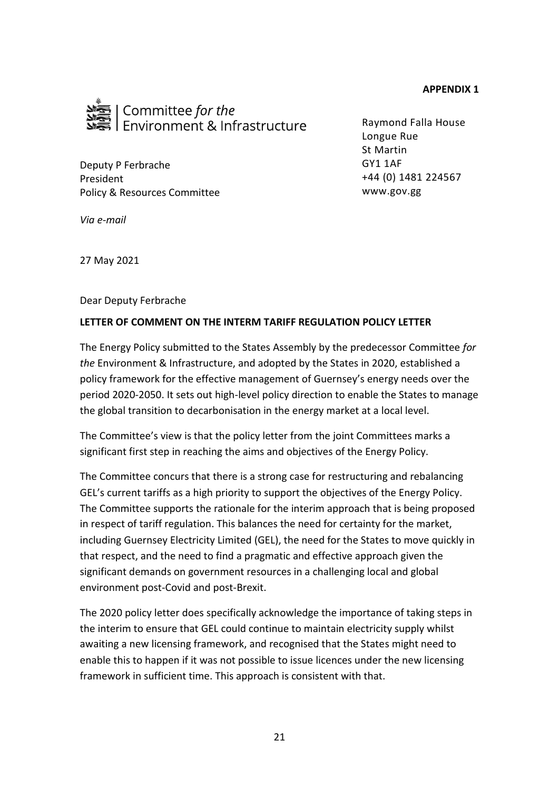#### **APPENDIX 1**



Deputy P Ferbrache President Policy & Resources Committee Raymond Falla House Longue Rue St Martin GY1 1AF +44 (0) 1481 224567 www.gov.gg

*Via e-mail*

27 May 2021

Dear Deputy Ferbrache

#### **LETTER OF COMMENT ON THE INTERM TARIFF REGULATION POLICY LETTER**

The Energy Policy submitted to the States Assembly by the predecessor Committee *for the* Environment & Infrastructure, and adopted by the States in 2020, established a policy framework for the effective management of Guernsey's energy needs over the period 2020-2050. It sets out high-level policy direction to enable the States to manage the global transition to decarbonisation in the energy market at a local level.

The Committee's view is that the policy letter from the joint Committees marks a significant first step in reaching the aims and objectives of the Energy Policy.

The Committee concurs that there is a strong case for restructuring and rebalancing GEL's current tariffs as a high priority to support the objectives of the Energy Policy. The Committee supports the rationale for the interim approach that is being proposed in respect of tariff regulation. This balances the need for certainty for the market, including Guernsey Electricity Limited (GEL), the need for the States to move quickly in that respect, and the need to find a pragmatic and effective approach given the significant demands on government resources in a challenging local and global environment post-Covid and post-Brexit.

The 2020 policy letter does specifically acknowledge the importance of taking steps in the interim to ensure that GEL could continue to maintain electricity supply whilst awaiting a new licensing framework, and recognised that the States might need to enable this to happen if it was not possible to issue licences under the new licensing framework in sufficient time. This approach is consistent with that.